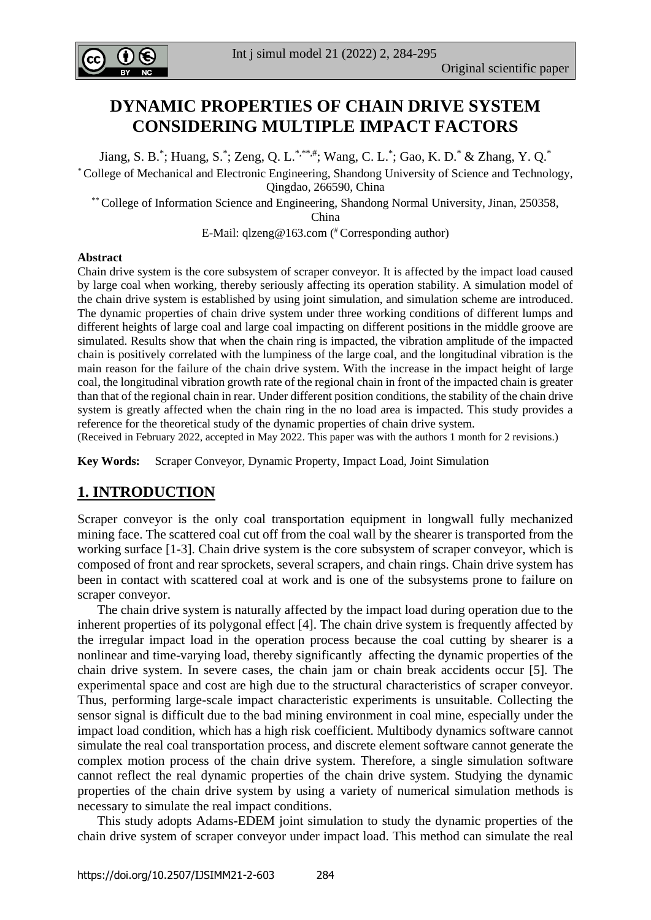

# **DYNAMIC PROPERTIES OF CHAIN DRIVE SYSTEM CONSIDERING MULTIPLE IMPACT FACTORS**

Jiang, S. B.\*; Huang, S.\*; Zeng, Q. L.\*,\*\*\*,#; Wang, C. L.\*; Gao, K. D.\* & Zhang, Y. Q.\*

\* College of Mechanical and Electronic Engineering, Shandong University of Science and Technology, Qingdao, 266590, China

\*\* College of Information Science and Engineering, Shandong Normal University, Jinan, 250358, China

E-Mail: [qlzeng@163.com](mailto:qlzeng@163.com) ( #Corresponding author)

#### **Abstract**

Chain drive system is the core subsystem of scraper conveyor. It is affected by the impact load caused by large coal when working, thereby seriously affecting its operation stability. A simulation model of the chain drive system is established by using joint simulation, and simulation scheme are introduced. The dynamic properties of chain drive system under three working conditions of different lumps and different heights of large coal and large coal impacting on different positions in the middle groove are simulated. Results show that when the chain ring is impacted, the vibration amplitude of the impacted chain is positively correlated with the lumpiness of the large coal, and the longitudinal vibration is the main reason for the failure of the chain drive system. With the increase in the impact height of large coal, the longitudinal vibration growth rate of the regional chain in front of the impacted chain is greater than that of the regional chain in rear. Under different position conditions, the stability of the chain drive system is greatly affected when the chain ring in the no load area is impacted. This study provides a reference for the theoretical study of the dynamic properties of chain drive system.

(Received in February 2022, accepted in May 2022. This paper was with the authors 1 month for 2 revisions.)

**Key Words:** Scraper Conveyor, Dynamic Property, Impact Load, Joint Simulation

## **1. INTRODUCTION**

Scraper conveyor is the only coal transportation equipment in longwall fully mechanized mining face. The scattered coal cut off from the coal wall by the shearer is transported from the working surface [1-3]. Chain drive system is the core subsystem of scraper conveyor, which is composed of front and rear sprockets, several scrapers, and chain rings. Chain drive system has been in contact with scattered coal at work and is one of the subsystems prone to failure on scraper conveyor.

 The chain drive system is naturally affected by the impact load during operation due to the inherent properties of its polygonal effect [4]. The chain drive system is frequently affected by the irregular impact load in the operation process because the coal cutting by shearer is a nonlinear and time-varying load, thereby significantly affecting the dynamic properties of the chain drive system. In severe cases, the chain jam or chain break accidents occur [5]. The experimental space and cost are high due to the structural characteristics of scraper conveyor. Thus, performing large-scale impact characteristic experiments is unsuitable. Collecting the sensor signal is difficult due to the bad mining environment in coal mine, especially under the impact load condition, which has a high risk coefficient. Multibody dynamics software cannot simulate the real coal transportation process, and discrete element software cannot generate the complex motion process of the chain drive system. Therefore, a single simulation software cannot reflect the real dynamic properties of the chain drive system. Studying the dynamic properties of the chain drive system by using a variety of numerical simulation methods is necessary to simulate the real impact conditions.

 This study adopts Adams-EDEM joint simulation to study the dynamic properties of the chain drive system of scraper conveyor under impact load. This method can simulate the real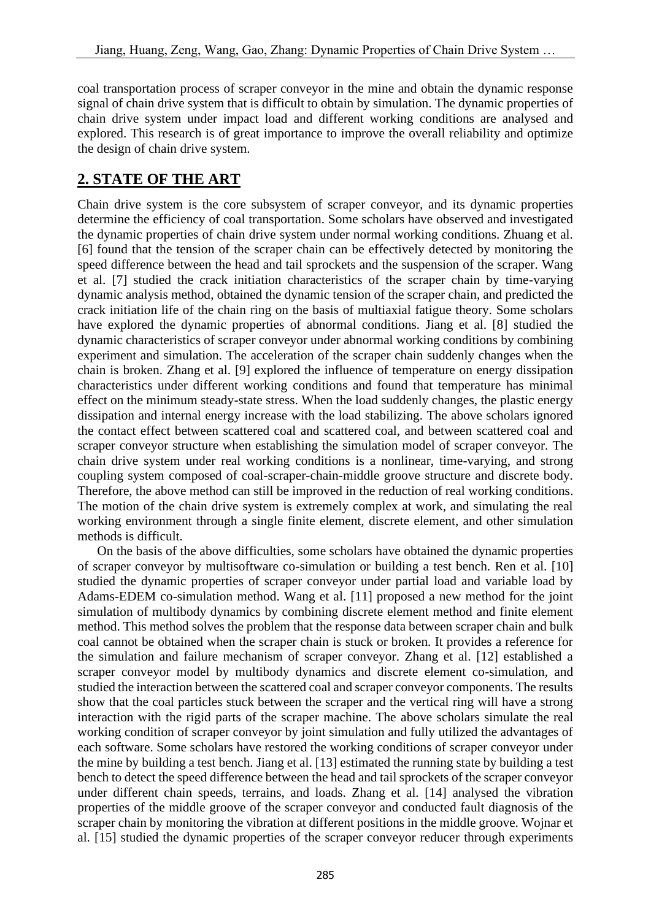coal transportation process of scraper conveyor in the mine and obtain the dynamic response signal of chain drive system that is difficult to obtain by simulation. The dynamic properties of chain drive system under impact load and different working conditions are analysed and explored. This research is of great importance to improve the overall reliability and optimize the design of chain drive system.

## **2. STATE OF THE ART**

Chain drive system is the core subsystem of scraper conveyor, and its dynamic properties determine the efficiency of coal transportation. Some scholars have observed and investigated the dynamic properties of chain drive system under normal working conditions. Zhuang et al. [6] found that the tension of the scraper chain can be effectively detected by monitoring the speed difference between the head and tail sprockets and the suspension of the scraper. Wang et al. [7] studied the crack initiation characteristics of the scraper chain by time-varying dynamic analysis method, obtained the dynamic tension of the scraper chain, and predicted the crack initiation life of the chain ring on the basis of multiaxial fatigue theory. Some scholars have explored the dynamic properties of abnormal conditions. Jiang et al. [8] studied the dynamic characteristics of scraper conveyor under abnormal working conditions by combining experiment and simulation. The acceleration of the scraper chain suddenly changes when the chain is broken. Zhang et al. [9] explored the influence of temperature on energy dissipation characteristics under different working conditions and found that temperature has minimal effect on the minimum steady-state stress. When the load suddenly changes, the plastic energy dissipation and internal energy increase with the load stabilizing. The above scholars ignored the contact effect between scattered coal and scattered coal, and between scattered coal and scraper conveyor structure when establishing the simulation model of scraper conveyor. The chain drive system under real working conditions is a nonlinear, time-varying, and strong coupling system composed of coal-scraper-chain-middle groove structure and discrete body. Therefore, the above method can still be improved in the reduction of real working conditions. The motion of the chain drive system is extremely complex at work, and simulating the real working environment through a single finite element, discrete element, and other simulation methods is difficult.

 On the basis of the above difficulties, some scholars have obtained the dynamic properties of scraper conveyor by multisoftware co-simulation or building a test bench. Ren et al. [10] studied the dynamic properties of scraper conveyor under partial load and variable load by Adams-EDEM co-simulation method. Wang et al. [11] proposed a new method for the joint simulation of multibody dynamics by combining discrete element method and finite element method. This method solves the problem that the response data between scraper chain and bulk coal cannot be obtained when the scraper chain is stuck or broken. It provides a reference for the simulation and failure mechanism of scraper conveyor. Zhang et al. [12] established a scraper conveyor model by multibody dynamics and discrete element co-simulation, and studied the interaction between the scattered coal and scraper conveyor components. The results show that the coal particles stuck between the scraper and the vertical ring will have a strong interaction with the rigid parts of the scraper machine. The above scholars simulate the real working condition of scraper conveyor by joint simulation and fully utilized the advantages of each software. Some scholars have restored the working conditions of scraper conveyor under the mine by building a test bench. Jiang et al. [13] estimated the running state by building a test bench to detect the speed difference between the head and tail sprockets of the scraper conveyor under different chain speeds, terrains, and loads. Zhang et al. [14] analysed the vibration properties of the middle groove of the scraper conveyor and conducted fault diagnosis of the scraper chain by monitoring the vibration at different positions in the middle groove. Wojnar et al. [15] studied the dynamic properties of the scraper conveyor reducer through experiments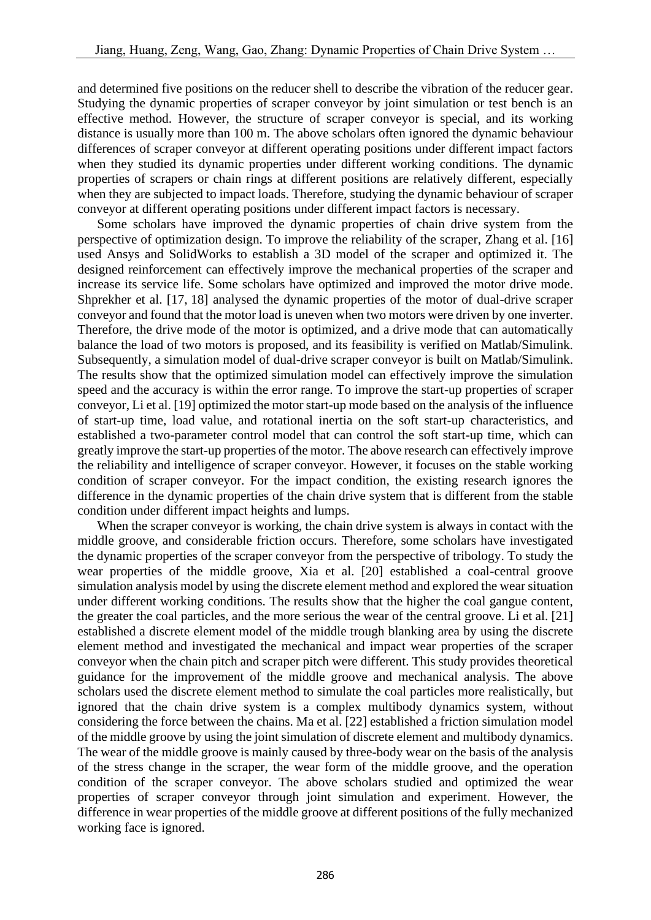and determined five positions on the reducer shell to describe the vibration of the reducer gear. Studying the dynamic properties of scraper conveyor by joint simulation or test bench is an effective method. However, the structure of scraper conveyor is special, and its working distance is usually more than 100 m. The above scholars often ignored the dynamic behaviour differences of scraper conveyor at different operating positions under different impact factors when they studied its dynamic properties under different working conditions. The dynamic properties of scrapers or chain rings at different positions are relatively different, especially when they are subjected to impact loads. Therefore, studying the dynamic behaviour of scraper conveyor at different operating positions under different impact factors is necessary.

 Some scholars have improved the dynamic properties of chain drive system from the perspective of optimization design. To improve the reliability of the scraper, Zhang et al. [16] used Ansys and SolidWorks to establish a 3D model of the scraper and optimized it. The designed reinforcement can effectively improve the mechanical properties of the scraper and increase its service life. Some scholars have optimized and improved the motor drive mode. Shprekher et al. [17, 18] analysed the dynamic properties of the motor of dual-drive scraper conveyor and found that the motor load is uneven when two motors were driven by one inverter. Therefore, the drive mode of the motor is optimized, and a drive mode that can automatically balance the load of two motors is proposed, and its feasibility is verified on Matlab/Simulink. Subsequently, a simulation model of dual-drive scraper conveyor is built on Matlab/Simulink. The results show that the optimized simulation model can effectively improve the simulation speed and the accuracy is within the error range. To improve the start-up properties of scraper conveyor, Li et al. [19] optimized the motor start-up mode based on the analysis of the influence of start-up time, load value, and rotational inertia on the soft start-up characteristics, and established a two-parameter control model that can control the soft start-up time, which can greatly improve the start-up properties of the motor. The above research can effectively improve the reliability and intelligence of scraper conveyor. However, it focuses on the stable working condition of scraper conveyor. For the impact condition, the existing research ignores the difference in the dynamic properties of the chain drive system that is different from the stable condition under different impact heights and lumps.

 When the scraper conveyor is working, the chain drive system is always in contact with the middle groove, and considerable friction occurs. Therefore, some scholars have investigated the dynamic properties of the scraper conveyor from the perspective of tribology. To study the wear properties of the middle groove, Xia et al. [20] established a coal-central groove simulation analysis model by using the discrete element method and explored the wear situation under different working conditions. The results show that the higher the coal gangue content, the greater the coal particles, and the more serious the wear of the central groove. Li et al. [21] established a discrete element model of the middle trough blanking area by using the discrete element method and investigated the mechanical and impact wear properties of the scraper conveyor when the chain pitch and scraper pitch were different. This study provides theoretical guidance for the improvement of the middle groove and mechanical analysis. The above scholars used the discrete element method to simulate the coal particles more realistically, but ignored that the chain drive system is a complex multibody dynamics system, without considering the force between the chains. Ma et al. [22] established a friction simulation model of the middle groove by using the joint simulation of discrete element and multibody dynamics. The wear of the middle groove is mainly caused by three-body wear on the basis of the analysis of the stress change in the scraper, the wear form of the middle groove, and the operation condition of the scraper conveyor. The above scholars studied and optimized the wear properties of scraper conveyor through joint simulation and experiment. However, the difference in wear properties of the middle groove at different positions of the fully mechanized working face is ignored.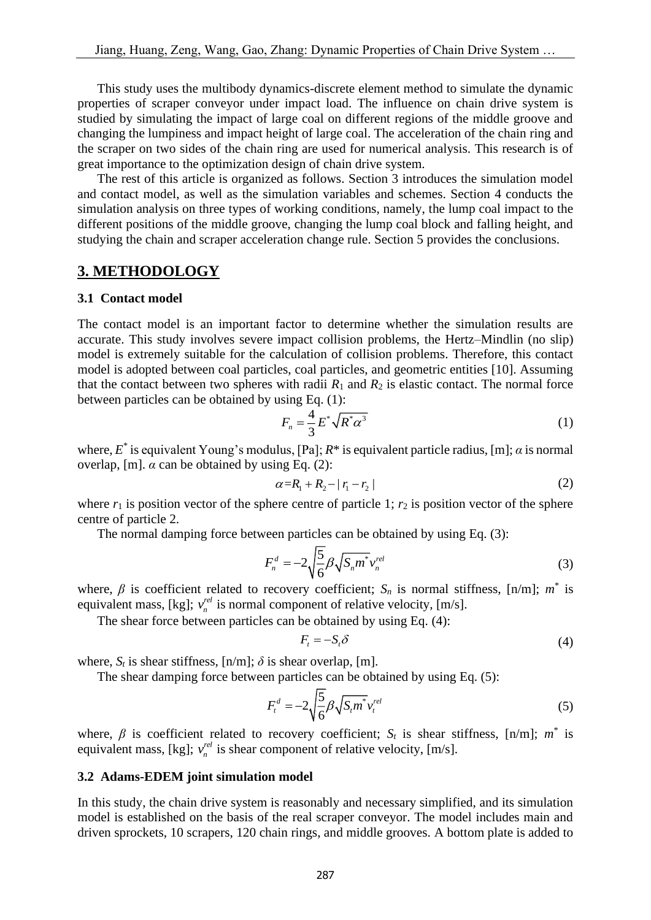This study uses the multibody dynamics-discrete element method to simulate the dynamic properties of scraper conveyor under impact load. The influence on chain drive system is studied by simulating the impact of large coal on different regions of the middle groove and changing the lumpiness and impact height of large coal. The acceleration of the chain ring and the scraper on two sides of the chain ring are used for numerical analysis. This research is of great importance to the optimization design of chain drive system.

 The rest of this article is organized as follows. Section 3 introduces the simulation model and contact model, as well as the simulation variables and schemes. Section 4 conducts the simulation analysis on three types of working conditions, namely, the lump coal impact to the different positions of the middle groove, changing the lump coal block and falling height, and studying the chain and scraper acceleration change rule. Section 5 provides the conclusions.

## **3. METHODOLOGY**

#### **3.1 Contact model**

The contact model is an important factor to determine whether the simulation results are accurate. This study involves severe impact collision problems, the Hertz–Mindlin (no slip) model is extremely suitable for the calculation of collision problems. Therefore, this contact model is adopted between coal particles, coal particles, and geometric entities [10]. Assuming that the contact between two spheres with radii  $R_1$  and  $R_2$  is elastic contact. The normal force between particles can be obtained by using Eq. (1):

$$
F_n = \frac{4}{3} E^* \sqrt{R^* \alpha^3} \tag{1}
$$

where,  $E^*$  is equivalent Young's modulus, [Pa];  $R^*$  is equivalent particle radius, [m];  $\alpha$  is normal overlap, [m].  $\alpha$  can be obtained by using Eq. (2):

$$
\alpha = R_1 + R_2 - |r_1 - r_2| \tag{2}
$$

where  $r_1$  is position vector of the sphere centre of particle 1;  $r_2$  is position vector of the sphere centre of particle 2.

The normal damping force between particles can be obtained by using Eq. (3):

$$
F_n^d = -2\sqrt{\frac{5}{6}}\beta\sqrt{S_n m^*}v_n^{rel}
$$
 (3)

where,  $\beta$  is coefficient related to recovery coefficient;  $S_n$  is normal stiffness, [n/m];  $m^*$  is equivalent mass, [kg];  $v_n^{rel}$  $v_n^{\text{rel}}$  is normal component of relative velocity, [m/s].

The shear force between particles can be obtained by using Eq. (4):

$$
F_t = -S_t \delta \tag{4}
$$

where,  $S_t$  is shear stiffness,  $[n/m]$ ;  $\delta$  is shear overlap,  $[m]$ .

The shear damping force between particles can be obtained by using Eq. (5):

$$
F_t^d = -2\sqrt{\frac{5}{6}}\beta\sqrt{S_t m^*}v_t^{rel}
$$
 (5)

where,  $\beta$  is coefficient related to recovery coefficient;  $S_t$  is shear stiffness, [n/m];  $m^*$  is equivalent mass, [kg];  $v_n^{rel}$  $v_n^{\text{rel}}$  is shear component of relative velocity, [m/s].

### **3.2 Adams-EDEM joint simulation model**

In this study, the chain drive system is reasonably and necessary simplified, and its simulation model is established on the basis of the real scraper conveyor. The model includes main and driven sprockets, 10 scrapers, 120 chain rings, and middle grooves. A bottom plate is added to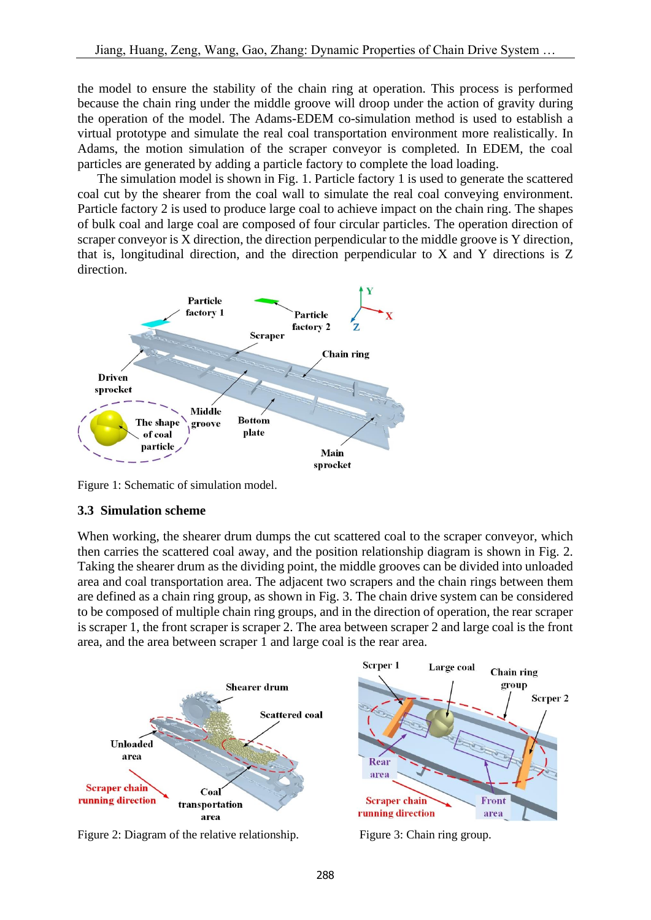the model to ensure the stability of the chain ring at operation. This process is performed because the chain ring under the middle groove will droop under the action of gravity during the operation of the model. The Adams-EDEM co-simulation method is used to establish a virtual prototype and simulate the real coal transportation environment more realistically. In Adams, the motion simulation of the scraper conveyor is completed. In EDEM, the coal particles are generated by adding a particle factory to complete the load loading.

 The simulation model is shown in Fig. 1. Particle factory 1 is used to generate the scattered coal cut by the shearer from the coal wall to simulate the real coal conveying environment. Particle factory 2 is used to produce large coal to achieve impact on the chain ring. The shapes of bulk coal and large coal are composed of four circular particles. The operation direction of scraper conveyor is X direction, the direction perpendicular to the middle groove is Y direction, that is, longitudinal direction, and the direction perpendicular to X and Y directions is Z direction.



Figure 1: Schematic of simulation model.

## **3.3 Simulation scheme**

When working, the shearer drum dumps the cut scattered coal to the scraper conveyor, which then carries the scattered coal away, and the position relationship diagram is shown in Fig. 2. Taking the shearer drum as the dividing point, the middle grooves can be divided into unloaded area and coal transportation area. The adjacent two scrapers and the chain rings between them are defined as a chain ring group, as shown in Fig. 3. The chain drive system can be considered to be composed of multiple chain ring groups, and in the direction of operation, the rear scraper is scraper 1, the front scraper is scraper 2. The area between scraper 2 and large coal is the front area, and the area between scraper 1 and large coal is the rear area.



Figure 2: Diagram of the relative relationship. Figure 3: Chain ring group.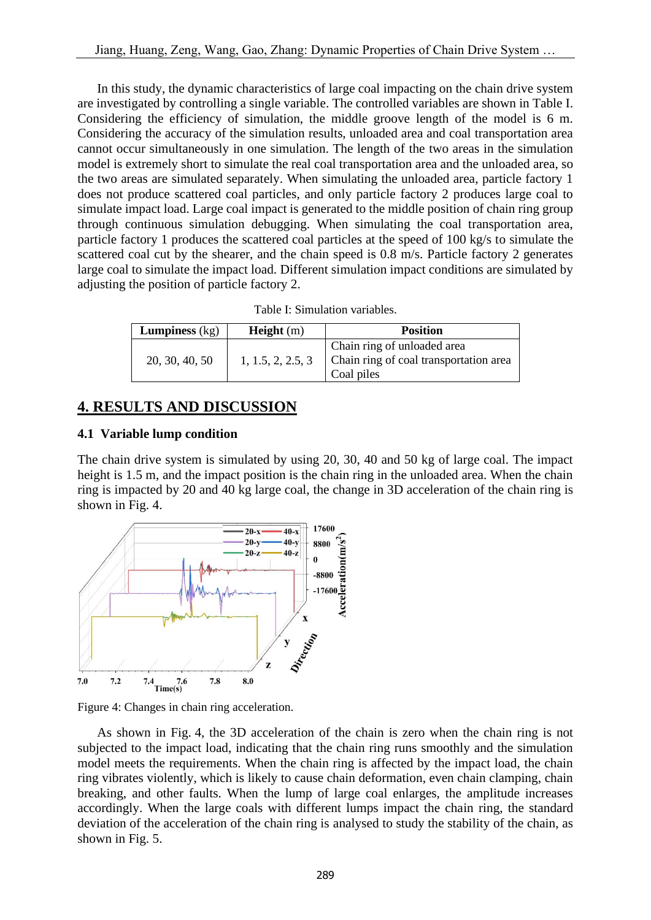In this study, the dynamic characteristics of large coal impacting on the chain drive system are investigated by controlling a single variable. The controlled variables are shown in Table I. Considering the efficiency of simulation, the middle groove length of the model is 6 m. Considering the accuracy of the simulation results, unloaded area and coal transportation area cannot occur simultaneously in one simulation. The length of the two areas in the simulation model is extremely short to simulate the real coal transportation area and the unloaded area, so the two areas are simulated separately. When simulating the unloaded area, particle factory 1 does not produce scattered coal particles, and only particle factory 2 produces large coal to simulate impact load. Large coal impact is generated to the middle position of chain ring group through continuous simulation debugging. When simulating the coal transportation area, particle factory 1 produces the scattered coal particles at the speed of 100 kg/s to simulate the scattered coal cut by the shearer, and the chain speed is 0.8 m/s. Particle factory 2 generates large coal to simulate the impact load. Different simulation impact conditions are simulated by adjusting the position of particle factory 2.

| Table I: Simulation variables. |
|--------------------------------|
|--------------------------------|

| <b>Lumpiness</b> $(kg)$ | Height(m)         | <b>Position</b>                                                                     |
|-------------------------|-------------------|-------------------------------------------------------------------------------------|
| 20, 30, 40, 50          | 1, 1.5, 2, 2.5, 3 | Chain ring of unloaded area<br>Chain ring of coal transportation area<br>Coal piles |

## **4. RESULTS AND DISCUSSION**

## **4.1 Variable lump condition**

The chain drive system is simulated by using 20, 30, 40 and 50 kg of large coal. The impact height is 1.5 m, and the impact position is the chain ring in the unloaded area. When the chain ring is impacted by 20 and 40 kg large coal, the change in 3D acceleration of the chain ring is shown in Fig. 4.



Figure 4: Changes in chain ring acceleration.

 As shown in Fig. 4, the 3D acceleration of the chain is zero when the chain ring is not subjected to the impact load, indicating that the chain ring runs smoothly and the simulation model meets the requirements. When the chain ring is affected by the impact load, the chain ring vibrates violently, which is likely to cause chain deformation, even chain clamping, chain breaking, and other faults. When the lump of large coal enlarges, the amplitude increases accordingly. When the large coals with different lumps impact the chain ring, the standard deviation of the acceleration of the chain ring is analysed to study the stability of the chain, as shown in Fig. 5.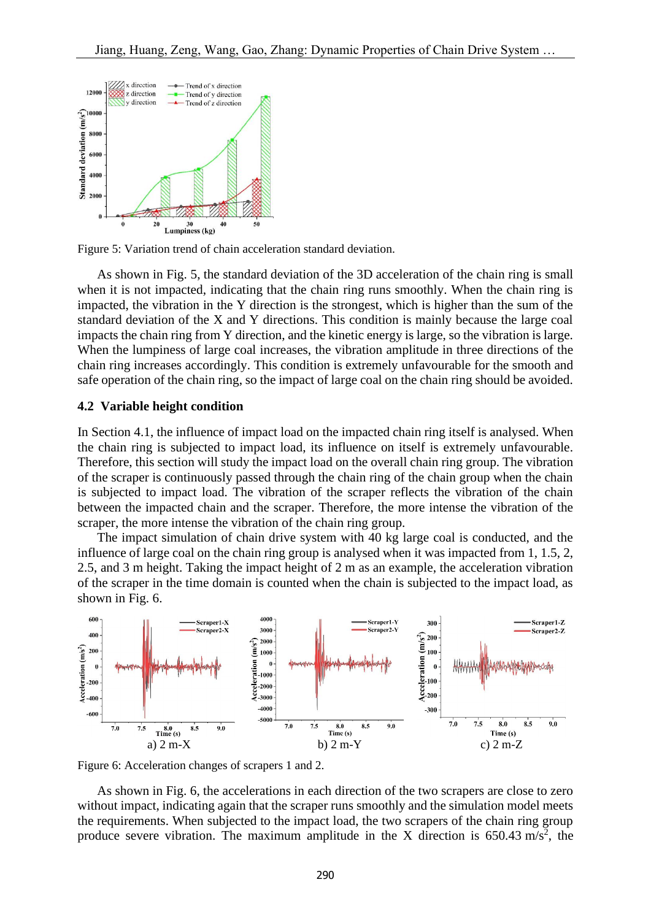

Figure 5: Variation trend of chain acceleration standard deviation.

 As shown in Fig. 5, the standard deviation of the 3D acceleration of the chain ring is small when it is not impacted, indicating that the chain ring runs smoothly. When the chain ring is impacted, the vibration in the Y direction is the strongest, which is higher than the sum of the standard deviation of the X and Y directions. This condition is mainly because the large coal impacts the chain ring from Y direction, and the kinetic energy is large, so the vibration is large. When the lumpiness of large coal increases, the vibration amplitude in three directions of the chain ring increases accordingly. This condition is extremely unfavourable for the smooth and safe operation of the chain ring, so the impact of large coal on the chain ring should be avoided.

#### **4.2 Variable height condition**

In Section 4.1, the influence of impact load on the impacted chain ring itself is analysed. When the chain ring is subjected to impact load, its influence on itself is extremely unfavourable. Therefore, this section will study the impact load on the overall chain ring group. The vibration of the scraper is continuously passed through the chain ring of the chain group when the chain is subjected to impact load. The vibration of the scraper reflects the vibration of the chain between the impacted chain and the scraper. Therefore, the more intense the vibration of the scraper, the more intense the vibration of the chain ring group.

 The impact simulation of chain drive system with 40 kg large coal is conducted, and the influence of large coal on the chain ring group is analysed when it was impacted from 1, 1.5, 2, 2.5, and 3 m height. Taking the impact height of 2 m as an example, the acceleration vibration of the scraper in the time domain is counted when the chain is subjected to the impact load, as shown in Fig. 6.



Figure 6: Acceleration changes of scrapers 1 and 2.

 As shown in Fig. 6, the accelerations in each direction of the two scrapers are close to zero without impact, indicating again that the scraper runs smoothly and the simulation model meets the requirements. When subjected to the impact load, the two scrapers of the chain ring group produce severe vibration. The maximum amplitude in the X direction is  $650.43 \text{ m/s}^2$ , the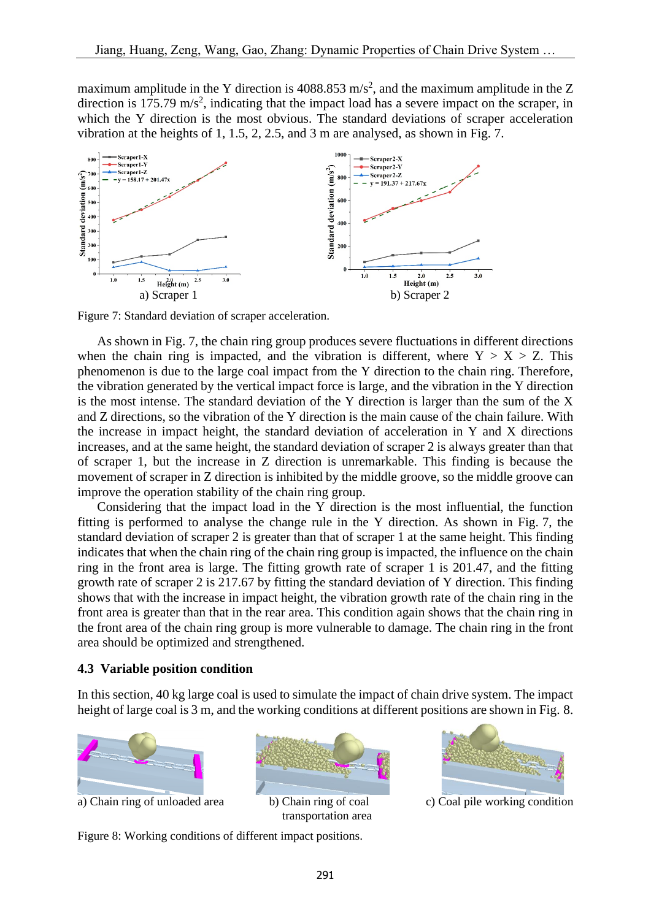maximum amplitude in the Y direction is 4088.853 m/s<sup>2</sup>, and the maximum amplitude in the Z direction is 175.79  $\text{m/s}^2$ , indicating that the impact load has a severe impact on the scraper, in which the Y direction is the most obvious. The standard deviations of scraper acceleration vibration at the heights of 1, 1.5, 2, 2.5, and 3 m are analysed, as shown in Fig. 7.



Figure 7: Standard deviation of scraper acceleration.

 As shown in Fig. 7, the chain ring group produces severe fluctuations in different directions when the chain ring is impacted, and the vibration is different, where  $Y > X > Z$ . This phenomenon is due to the large coal impact from the Y direction to the chain ring. Therefore, the vibration generated by the vertical impact force is large, and the vibration in the Y direction is the most intense. The standard deviation of the Y direction is larger than the sum of the X and Z directions, so the vibration of the Y direction is the main cause of the chain failure. With the increase in impact height, the standard deviation of acceleration in Y and X directions increases, and at the same height, the standard deviation of scraper 2 is always greater than that of scraper 1, but the increase in Z direction is unremarkable. This finding is because the movement of scraper in Z direction is inhibited by the middle groove, so the middle groove can improve the operation stability of the chain ring group.

 Considering that the impact load in the Y direction is the most influential, the function fitting is performed to analyse the change rule in the Y direction. As shown in Fig. 7, the standard deviation of scraper 2 is greater than that of scraper 1 at the same height. This finding indicates that when the chain ring of the chain ring group is impacted, the influence on the chain ring in the front area is large. The fitting growth rate of scraper 1 is 201.47, and the fitting growth rate of scraper 2 is 217.67 by fitting the standard deviation of Y direction. This finding shows that with the increase in impact height, the vibration growth rate of the chain ring in the front area is greater than that in the rear area. This condition again shows that the chain ring in the front area of the chain ring group is more vulnerable to damage. The chain ring in the front area should be optimized and strengthened.

#### **4.3 Variable position condition**

In this section, 40 kg large coal is used to simulate the impact of chain drive system. The impact height of large coal is 3 m, and the working conditions at different positions are shown in Fig. 8.



a) Chain ring of unloaded area b) Chain ring of coal c) Coal pile working condition



transportation area

291



Figure 8: Working conditions of different impact positions.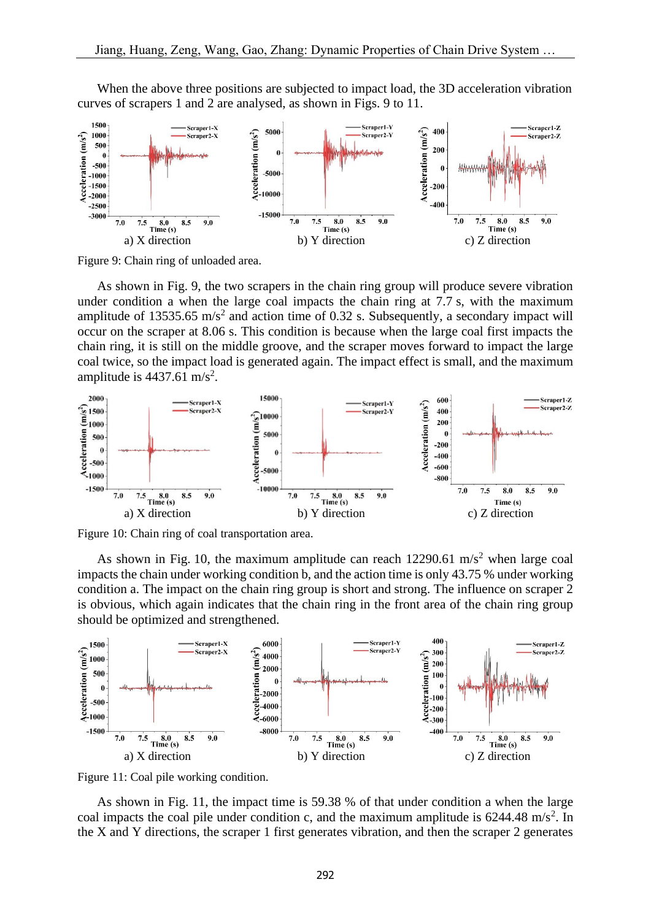

 When the above three positions are subjected to impact load, the 3D acceleration vibration curves of scrapers 1 and 2 are analysed, as shown in Figs. 9 to 11.

Figure 9: Chain ring of unloaded area.

 As shown in Fig. 9, the two scrapers in the chain ring group will produce severe vibration under condition a when the large coal impacts the chain ring at 7.7 s, with the maximum amplitude of 13535.65 m/s<sup>2</sup> and action time of 0.32 s. Subsequently, a secondary impact will occur on the scraper at 8.06 s. This condition is because when the large coal first impacts the chain ring, it is still on the middle groove, and the scraper moves forward to impact the large coal twice, so the impact load is generated again. The impact effect is small, and the maximum amplitude is  $4437.61 \text{ m/s}^2$ .



Figure 10: Chain ring of coal transportation area.

As shown in Fig. 10, the maximum amplitude can reach  $12290.61$  m/s<sup>2</sup> when large coal impacts the chain under working condition b, and the action time is only 43.75 % under working condition a. The impact on the chain ring group is short and strong. The influence on scraper 2 is obvious, which again indicates that the chain ring in the front area of the chain ring group should be optimized and strengthened.



Figure 11: Coal pile working condition.

 As shown in Fig. 11, the impact time is 59.38 % of that under condition a when the large coal impacts the coal pile under condition c, and the maximum amplitude is  $6244.48 \text{ m/s}^2$ . In the X and Y directions, the scraper 1 first generates vibration, and then the scraper 2 generates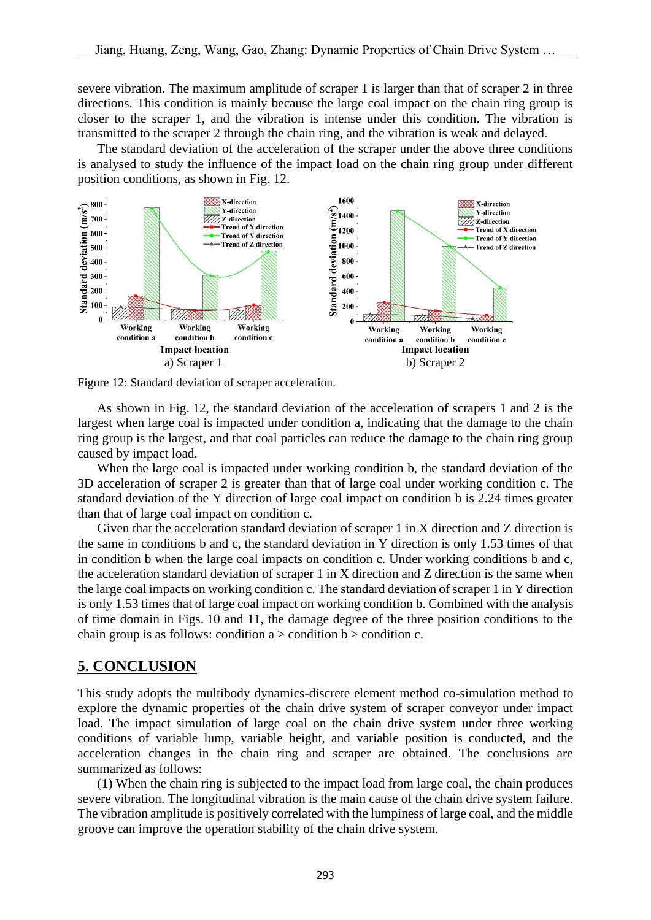severe vibration. The maximum amplitude of scraper 1 is larger than that of scraper 2 in three directions. This condition is mainly because the large coal impact on the chain ring group is closer to the scraper 1, and the vibration is intense under this condition. The vibration is transmitted to the scraper 2 through the chain ring, and the vibration is weak and delayed.

 The standard deviation of the acceleration of the scraper under the above three conditions is analysed to study the influence of the impact load on the chain ring group under different position conditions, as shown in Fig. 12.



Figure 12: Standard deviation of scraper acceleration.

 As shown in Fig. 12, the standard deviation of the acceleration of scrapers 1 and 2 is the largest when large coal is impacted under condition a, indicating that the damage to the chain ring group is the largest, and that coal particles can reduce the damage to the chain ring group caused by impact load.

When the large coal is impacted under working condition b, the standard deviation of the 3D acceleration of scraper 2 is greater than that of large coal under working condition c. The standard deviation of the Y direction of large coal impact on condition b is 2.24 times greater than that of large coal impact on condition c.

 Given that the acceleration standard deviation of scraper 1 in X direction and Z direction is the same in conditions b and c, the standard deviation in Y direction is only 1.53 times of that in condition b when the large coal impacts on condition c. Under working conditions b and c, the acceleration standard deviation of scraper 1 in X direction and Z direction is the same when the large coal impacts on working condition c. The standard deviation of scraper 1 in Y direction is only 1.53 times that of large coal impact on working condition b. Combined with the analysis of time domain in Figs. 10 and 11, the damage degree of the three position conditions to the chain group is as follows: condition  $a >$  condition  $b >$  condition c.

## **5. CONCLUSION**

This study adopts the multibody dynamics-discrete element method co-simulation method to explore the dynamic properties of the chain drive system of scraper conveyor under impact load. The impact simulation of large coal on the chain drive system under three working conditions of variable lump, variable height, and variable position is conducted, and the acceleration changes in the chain ring and scraper are obtained. The conclusions are summarized as follows:

 (1) When the chain ring is subjected to the impact load from large coal, the chain produces severe vibration. The longitudinal vibration is the main cause of the chain drive system failure. The vibration amplitude is positively correlated with the lumpiness of large coal, and the middle groove can improve the operation stability of the chain drive system.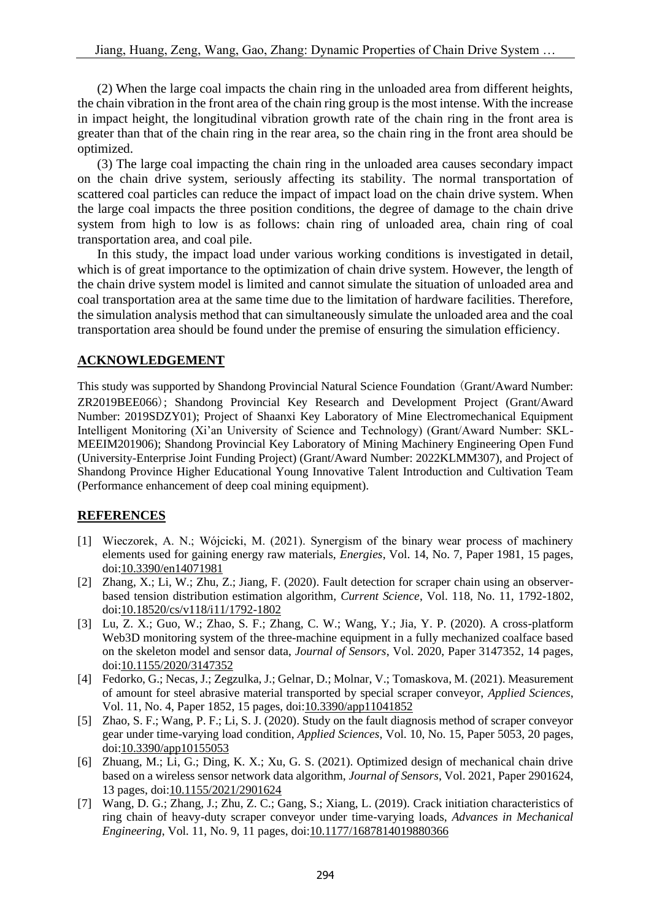(2) When the large coal impacts the chain ring in the unloaded area from different heights, the chain vibration in the front area of the chain ring group is the most intense. With the increase in impact height, the longitudinal vibration growth rate of the chain ring in the front area is greater than that of the chain ring in the rear area, so the chain ring in the front area should be optimized.

 (3) The large coal impacting the chain ring in the unloaded area causes secondary impact on the chain drive system, seriously affecting its stability. The normal transportation of scattered coal particles can reduce the impact of impact load on the chain drive system. When the large coal impacts the three position conditions, the degree of damage to the chain drive system from high to low is as follows: chain ring of unloaded area, chain ring of coal transportation area, and coal pile.

 In this study, the impact load under various working conditions is investigated in detail, which is of great importance to the optimization of chain drive system. However, the length of the chain drive system model is limited and cannot simulate the situation of unloaded area and coal transportation area at the same time due to the limitation of hardware facilities. Therefore, the simulation analysis method that can simultaneously simulate the unloaded area and the coal transportation area should be found under the premise of ensuring the simulation efficiency.

## **ACKNOWLEDGEMENT**

This study was supported by Shandong Provincial Natural Science Foundation (Grant/Award Number: ZR2019BEE066); Shandong Provincial Key Research and Development Project (Grant/Award Number: 2019SDZY01); Project of Shaanxi Key Laboratory of Mine Electromechanical Equipment Intelligent Monitoring (Xi'an University of Science and Technology) (Grant/Award Number: SKL-MEEIM201906); Shandong Provincial Key Laboratory of Mining Machinery Engineering Open Fund (University-Enterprise Joint Funding Project) (Grant/Award Number: 2022KLMM307), and Project of Shandong Province Higher Educational Young Innovative Talent Introduction and Cultivation Team (Performance enhancement of deep coal mining equipment).

### **REFERENCES**

- [1] Wieczorek, A. N.; Wójcicki, M. (2021). Synergism of the binary wear process of machinery elements used for gaining energy raw materials, *Energies*, Vol. 14, No. 7, Paper 1981, 15 pages, doi[:10.3390/en14071981](https://doi.org/10.3390/en14071981)
- [2] Zhang, X.; Li, W.; Zhu, Z.; Jiang, F. (2020). Fault detection for scraper chain using an observerbased tension distribution estimation algorithm, *Current Science*, Vol. 118, No. 11, 1792-1802, doi[:10.18520/cs/v118/i11/1792-1802](https://doi.org/10.18520/cs/v118/i11/1792-1802)
- [3] Lu, Z. X.; Guo, W.; Zhao, S. F.; Zhang, C. W.; Wang, Y.; Jia, Y. P. (2020). A cross-platform Web3D monitoring system of the three-machine equipment in a fully mechanized coalface based on the skeleton model and sensor data, *Journal of Sensors*, Vol. 2020, Paper 3147352, 14 pages, doi[:10.1155/2020/3147352](https://doi.org/10.1155/2020/3147352)
- [4] Fedorko, G.; Necas, J.; Zegzulka, J.; Gelnar, D.; Molnar, V.; Tomaskova, M. (2021). Measurement of amount for steel abrasive material transported by special scraper conveyor, *Applied Sciences*, Vol. 11, No. 4, Paper 1852, 15 pages, doi[:10.3390/app11041852](https://doi.org/10.3390/app11041852)
- [5] Zhao, S. F.; Wang, P. F.; Li, S. J. (2020). Study on the fault diagnosis method of scraper conveyor gear under time-varying load condition, *Applied Sciences*, Vol. 10, No. 15, Paper 5053, 20 pages, doi[:10.3390/app10155053](https://doi.org/10.3390/app10155053)
- [6] Zhuang, M.; Li, G.; Ding, K. X.; Xu, G. S. (2021). Optimized design of mechanical chain drive based on a wireless sensor network data algorithm, *Journal of Sensors*, Vol. 2021, Paper 2901624, 13 pages, doi[:10.1155/2021/2901624](https://doi.org/10.1155/2021/2901624)
- [7] Wang, D. G.; Zhang, J.; Zhu, Z. C.; Gang, S.; Xiang, L. (2019). Crack initiation characteristics of ring chain of heavy-duty scraper conveyor under time-varying loads, *Advances in Mechanical Engineering*, Vol. 11, No. 9, 11 pages, doi[:10.1177/1687814019880366](https://doi.org/10.1177/1687814019880366)